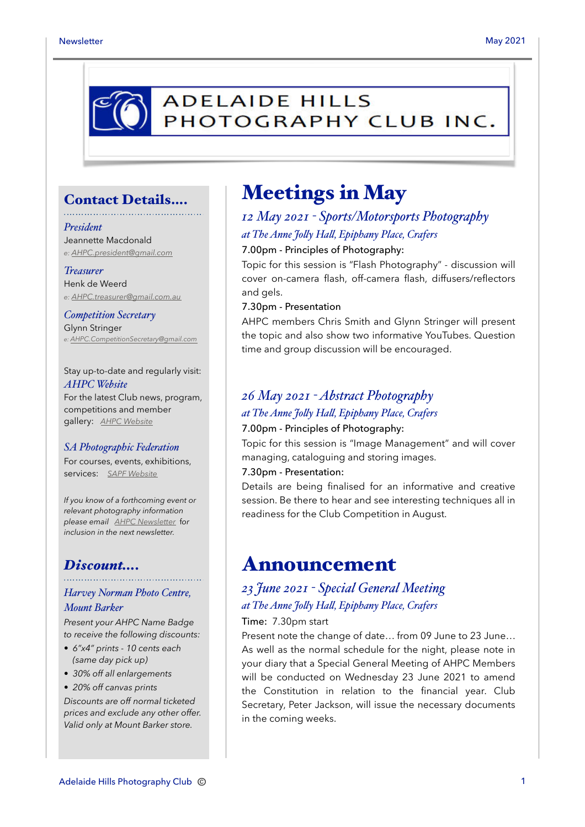# **ADELAIDE HILLS** PHOTOGRAPHY CLUB INC.

### Contact Details….

#### *President*

Jeannette Macdonald *e: [AHPC.president@gmail.com](mailto:AHPC.president@gmail.com)*

#### *Treasurer*

Henk de Weerd *e: [AHPC.treasurer@gmail.com.au](mailto:AHPC.treasurer@gmail.com.au)*

*Competition Secretary* Glynn Stringer *e: [AHPC.CompetitionSecretary@gmail.com](mailto:AHPC.CompetitionSecretary@gmail.com)*

Stay up-to-date and regularly visit: *AHPC Website* For the latest Club news, program, competitions and member gallery: *[AHPC Website](http://www.adelaidehillsphotographyclub.com.au)*

#### *SA Photographic Federation*

For courses, events, exhibitions, services: *[SAPF Website](https://www.sapf.org.au)*

*If you know of a forthcoming event or relevant photography information please email [AHPC Newsletter](mailto:paulaphotoclick@gmail.com)* f*or inclusion in the next newsletter.* 

### *Discount….*

### *Harvey Norman Photo Centre, Mount Barker*

*Present your AHPC Name Badge to receive the following discounts:* 

- *6"x4" prints 10 cents each (same day pick up)*
- *30% off all enlargements*
- *20% off canvas prints*

*Discounts are off normal ticketed prices and exclude any other offer. Valid only at Mount Barker store.*

## Meetings in May

### *12 May 2021 - Sports/Motorsports Photography at The Anne Joly Hal, Epiphany Place, Crafers*

#### 7.00pm - Principles of Photography:

Topic for this session is "Flash Photography" - discussion will cover on-camera flash, off-camera flash, diffusers/reflectors and gels.

#### 7.30pm - Presentation

AHPC members Chris Smith and Glynn Stringer will present the topic and also show two informative YouTubes. Question time and group discussion will be encouraged.

## *26 May 2021 - Abstract Photography at The Anne Joly Hal, Epiphany Place, Crafers*

#### 7.00pm - Principles of Photography:

Topic for this session is "Image Management" and will cover managing, cataloguing and storing images.

#### 7.30pm - Presentation:

Details are being finalised for an informative and creative session. Be there to hear and see interesting techniques all in readiness for the Club Competition in August.

### Announcement

## *23 June 2021 - Special General Meeting at The Anne Joly Hal, Epiphany Place, Crafers*

#### Time: 7.30pm start

Present note the change of date… from 09 June to 23 June… As well as the normal schedule for the night, please note in your diary that a Special General Meeting of AHPC Members will be conducted on Wednesday 23 June 2021 to amend the Constitution in relation to the financial year. Club Secretary, Peter Jackson, will issue the necessary documents in the coming weeks.